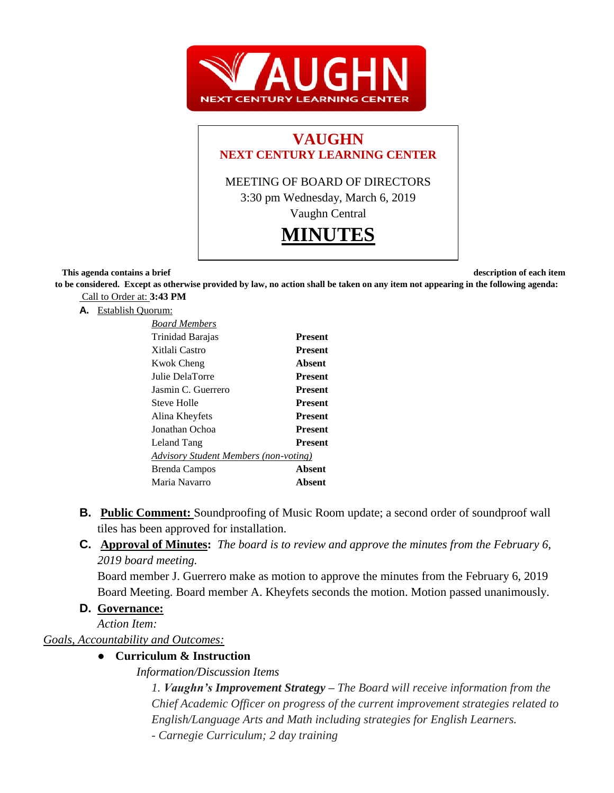

# **VAUGHN NEXT CENTURY LEARNING CENTER**

MEETING OF BOARD OF DIRECTORS 3:30 pm Wednesday, March 6, 2019

Vaughn Central



**This agenda contains a brief description of each item in the description of each item in the description of each item** 

**to be considered. Except as otherwise provided by law, no action shall be taken on any item not appearing in the following agenda:** Call to Order at: **3:43 PM**

**A.** Establish Quorum:

| <b>Board Members</b>                  |                |
|---------------------------------------|----------------|
| Trinidad Barajas                      | <b>Present</b> |
| Xitlali Castro                        | <b>Present</b> |
| <b>Kwok Cheng</b>                     | Absent         |
| Julie DelaTorre                       | <b>Present</b> |
| Jasmin C. Guerrero                    | <b>Present</b> |
| Steve Holle                           | <b>Present</b> |
| Alina Kheyfets                        | <b>Present</b> |
| Jonathan Ochoa                        | <b>Present</b> |
| Leland Tang                           | <b>Present</b> |
| Advisory Student Members (non-voting) |                |
| Brenda Campos                         | Absent         |
| Maria Navarro                         | Absent         |

- **B. Public Comment:** Soundproofing of Music Room update; a second order of soundproof wall tiles has been approved for installation.
- **C. Approval of Minutes:** *The board is to review and approve the minutes from the February 6, 2019 board meeting.*

Board member J. Guerrero make as motion to approve the minutes from the February 6, 2019 Board Meeting. Board member A. Kheyfets seconds the motion. Motion passed unanimously.

# **D. Governance:**

*Action Item:*

*Goals, Accountability and Outcomes:*

# ● **Curriculum & Instruction**

*Information/Discussion Items*

*1. Vaughn's Improvement Strategy – The Board will receive information from the Chief Academic Officer on progress of the current improvement strategies related to English/Language Arts and Math including strategies for English Learners.* 

*- Carnegie Curriculum; 2 day training*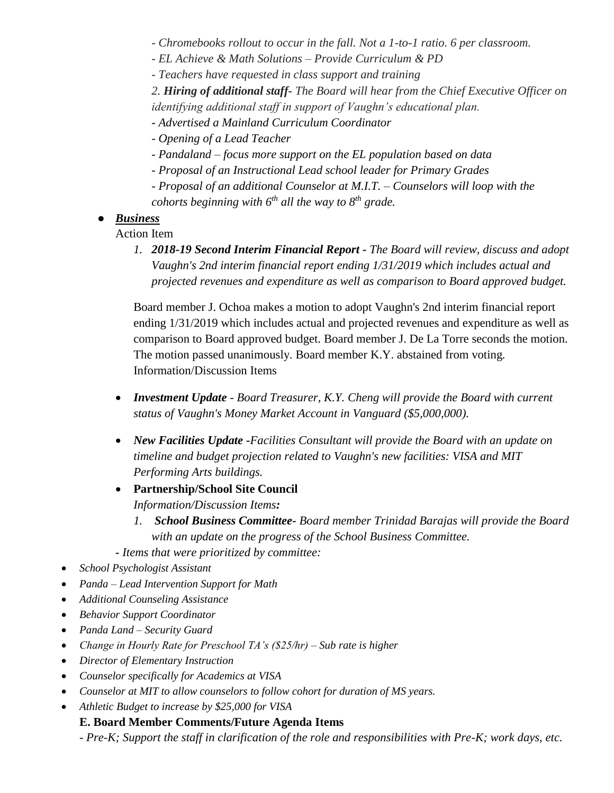*- Chromebooks rollout to occur in the fall. Not a 1-to-1 ratio. 6 per classroom.*

*- EL Achieve & Math Solutions – Provide Curriculum & PD*

*- Teachers have requested in class support and training*

*2. Hiring of additional staff- The Board will hear from the Chief Executive Officer on identifying additional staff in support of Vaughn's educational plan.*

- *- Advertised a Mainland Curriculum Coordinator*
- *- Opening of a Lead Teacher*
- *- Pandaland – focus more support on the EL population based on data*
- *- Proposal of an Instructional Lead school leader for Primary Grades*
- *- Proposal of an additional Counselor at M.I.T. – Counselors will loop with the cohorts beginning with 6th all the way to 8th grade.*

#### ● *Business*

Action Item

*1. 2018-19 Second Interim Financial Report - The Board will review, discuss and adopt Vaughn's 2nd interim financial report ending 1/31/2019 which includes actual and projected revenues and expenditure as well as comparison to Board approved budget.*

Board member J. Ochoa makes a motion to adopt Vaughn's 2nd interim financial report ending 1/31/2019 which includes actual and projected revenues and expenditure as well as comparison to Board approved budget. Board member J. De La Torre seconds the motion. The motion passed unanimously. Board member K.Y. abstained from voting*.*  Information/Discussion Items

- *Investment Update - Board Treasurer, K.Y. Cheng will provide the Board with current status of Vaughn's Money Market Account in Vanguard (\$5,000,000).*
- *New Facilities Update -Facilities Consultant will provide the Board with an update on timeline and budget projection related to Vaughn's new facilities: VISA and MIT Performing Arts buildings.*
- **Partnership/School Site Council**  *Information/Discussion Items:*
	- *1. School Business Committee- Board member Trinidad Barajas will provide the Board with an update on the progress of the School Business Committee.*
- *- Items that were prioritized by committee:*
- *School Psychologist Assistant*
- *Panda – Lead Intervention Support for Math*
- *Additional Counseling Assistance*
- *Behavior Support Coordinator*
- *Panda Land – Security Guard*
- *Change in Hourly Rate for Preschool TA's (\$25/hr) – Sub rate is higher*
- *Director of Elementary Instruction*
- *Counselor specifically for Academics at VISA*
- *Counselor at MIT to allow counselors to follow cohort for duration of MS years.*
- *Athletic Budget to increase by \$25,000 for VISA*

# **E. Board Member Comments/Future Agenda Items**

*- Pre-K; Support the staff in clarification of the role and responsibilities with Pre-K; work days, etc.*